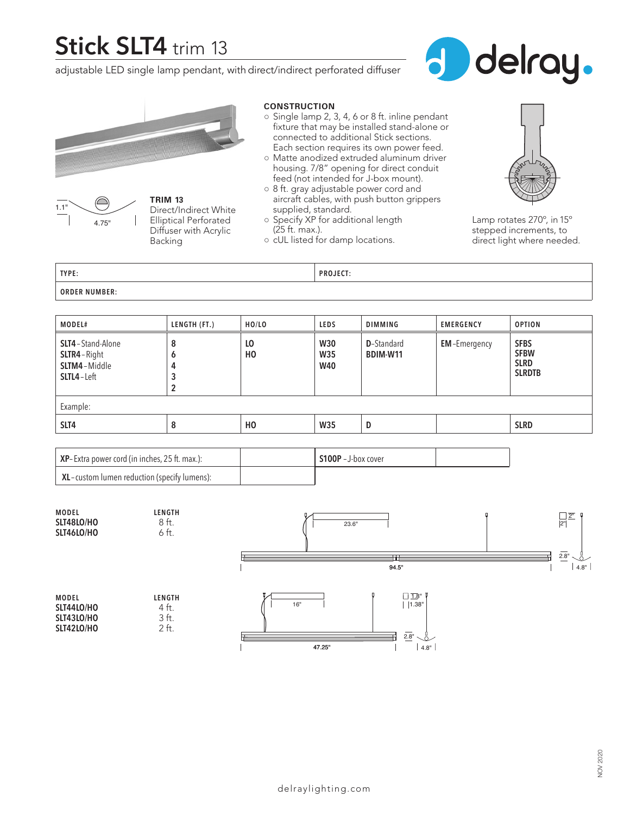# **Stick SLT4** trim 13

adjustable LED single lamp pendant, with direct/indirect perforated diffuser







**TRIM 13** Direct/Indirect White Elliptical Perforated Diffuser with Acrylic Backing

#### **CONSTRUCTION**

- Single lamp 2, 3, 4, 6 or 8 ft. inline pendant fixture that may be installed stand-alone or connected to additional Stick sections. Each section requires its own power feed.
- Matte anodized extruded aluminum driver housing. 7/8" opening for direct conduit feed (not intended for J-box mount).
- 8 ft. gray adjustable power cord and aircraft cables, with push button grippers supplied, standard.
- Specify XP for additional length (25 ft. max.).
- cUL listed for damp locations.



Lamp rotates 270º, in 15º stepped increments, to direct light where needed.

**TYPE: PROJECT: ORDER NUMBER:**

| MODEL#                                                                        | LENGTH (FT.)          | HO/LO                | <b>LEDS</b>                            | <b>DIMMING</b>                 | <b>EMERGENCY</b>    | <b>OPTION</b>                                              |
|-------------------------------------------------------------------------------|-----------------------|----------------------|----------------------------------------|--------------------------------|---------------------|------------------------------------------------------------|
| <b>SLT4</b> - Stand-Alone<br>SLTR4-Right<br>SLTM4-Middle<br><b>SLTL4-Left</b> | 8<br>O<br>4<br>3<br>2 | LO<br>H <sub>0</sub> | <b>W30</b><br><b>W35</b><br><b>W40</b> | <b>D</b> -Standard<br>BDIM-W11 | <b>EM-Emergency</b> | <b>SFBS</b><br><b>SFBW</b><br><b>SLRD</b><br><b>SLRDTB</b> |
| Example:                                                                      |                       |                      |                                        |                                |                     |                                                            |
| SLT4                                                                          | 8                     | H <sub>0</sub>       | <b>W35</b>                             | D                              |                     | <b>SLRD</b>                                                |

| XP-Extra power cord (in inches, 25 ft. max.): | S100P - J-box cover |  |
|-----------------------------------------------|---------------------|--|
| XL-custom lumen reduction (specify lumens):   |                     |  |

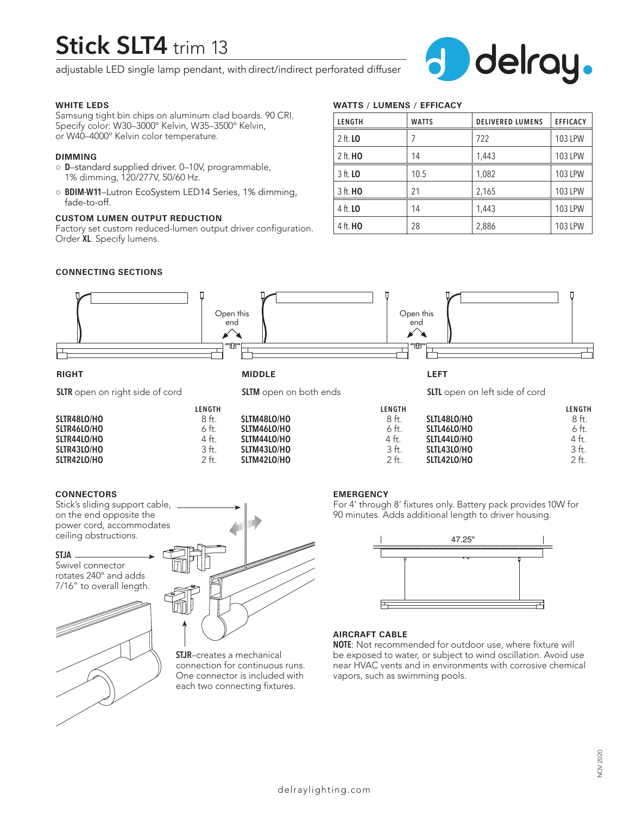# **Stick SLT4** trim 13

adjustable LED single lamp pendant, with direct/indirect perforated diffuser



### **WHITE LEDS**

Samsung tight bin chips on aluminum clad boards. 90 CRI. Specify color: W30–3000º Kelvin, W35–3500º Kelvin, or W40–4000º Kelvin color temperature.

#### **DIMMING**

- **D**–standard supplied driver. 0–10V, programmable, 1% dimming, 120/277V, 50/60 Hz.
- **BDIM-W11**–Lutron EcoSystem LED14 Series, 1% dimming, fade-to-off.

## **CUSTOM LUMEN OUTPUT REDUCTION**

Factory set custom reduced-lumen output driver configuration. Order **XL**. Specify lumens.

# **WATTS / LUMENS / EFFICACY**

| LENGTH          | <b>WATTS</b> | <b>DELIVERED LUMENS</b> | <b>EFFICACY</b> |
|-----------------|--------------|-------------------------|-----------------|
| 2 ft. <b>LO</b> |              | 722                     | 103 LPW         |
| 2 ft. <b>HO</b> | 14           | 1,443                   | 103 LPW         |
| 3 ft. <b>LO</b> | 10.5         | 1,082                   | 103 LPW         |
| 3 ft. <b>HO</b> | 21           | 2,165                   | <b>103 LPW</b>  |
| 4 ft. <b>LO</b> | 14           | 1,443                   | 103 LPW         |
| 4 ft. <b>HO</b> | 28           | 2,886                   | <b>103 LPW</b>  |

## **CONNECTING SECTIONS**



**SLTM43LO/HO** 3 ft.<br>**SLTM42LO/HO** 2 ft.

| <b>SLIK40LU/HU</b> | 6 Ħ.   |
|--------------------|--------|
| SLTR44LO/HO        | 4 ft.  |
| SLTR43LO/HO        | .3 ft. |
| SLTR42LO/HO        | 2 ft.  |

#### **CONNECTORS**

Stick's sliding support cable, on the end opposite the power cord, accommodates ceiling obstructions.

#### **STJA**

Swivel connector rotates 240° and adds 7/16" to overall length.





**SLTM42LO/HO** 

**STJR**–creates a mechanical connection for continuous runs. One connector is included with each two connecting fixtures.

#### **EMERGENCY**

For 4' through 8' fixtures only. Battery pack provides 10W for 90 minutes. Adds additional length to driver housing.

**SLTL42LO/HO** 

**SLTL43LO/HO** 3 ft.<br>**SLTL42LO/HO** 2 ft.



### **AIRCRAFT CABLE**

**NOTE**: Not recommended for outdoor use, where fixture will be exposed to water, or subject to wind oscillation. Avoid use near HVAC vents and in environments with corrosive chemical vapors, such as swimming pools.